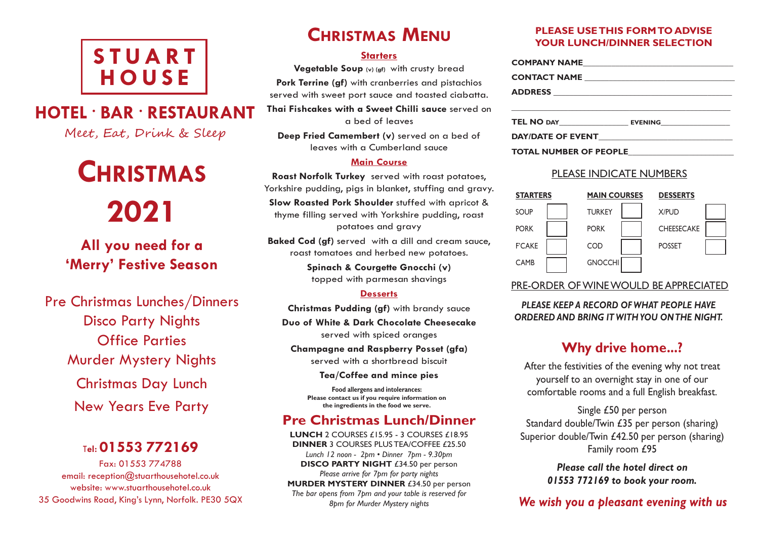## **S T UAR T H O U S E**

## **HOTEL • BAR • RESTAURANT**

Meet, Eat, Drink & Sleep

# **CHRISTMAS 2021**

**All you need for a 'Merry' Festive Season**

Pre Christmas Lunches/Dinners Disco Party Nights Office Parties Murder Mystery Nights Christmas Day Lunch New Years Eve Party

## <sup>T</sup>**el: 01553 772169**

Fax: 01553 774788 email: reception@stuarthousehotel.co.uk website: www.stuarthousehotel.co.uk 35 Goodwins Road, King's Lynn, Norfolk. PE30 5QX

## **CHRISTMAS MENU**

#### **Starters**

**Vegetable Soup (v) (gf)** with crusty bread **Pork Terrine (gf)** with cranberries and pistachios served with sweet port sauce and toasted ciabatta.

**Thai Fishcakes with a Sweet Chilli sauce** served on a bed of leaves

**Deep Fried Camembert (v)** served on a bed of leaves with a Cumberland sauce

#### **Main Course**

**Roast Norfolk Turkey** served with roast potatoes, Yorkshire pudding, pigs in blanket, stuffing and gravy.

**Slow Roasted Pork Shoulder** stuffed with apricot & thyme filling served with Yorkshire pudding, roast potatoes and gravy

**Baked Cod (gf)** served with a dill and cream sauce, roast tomatoes and herbed new potatoes.

> **Spinach & Courgette Gnocchi (v)** topped with parmesan shavings

#### **Desserts**

**Christmas Pudding (gf)** with brandy sauce

**Duo of White & Dark Chocolate Cheesecake** served with spiced oranges

**Champagne and Raspberry Posset (gfa)** served with a shortbread biscuit

**Tea/Coffee and mince pies**

**Food allergens and intolerances: Please contact us if you require information on the ingredients in the food we serve.**

## **Pre Christmas Lunch/Dinner**

**LUNCH** 2 COURSES £15.95 - 3 COURSES £18.95 **DINNER** 3 COURSES PLUS TEA/COFFEE £25.50 *Lunch 12 noon - 2pm • Dinner 7pm - 9.30pm* **DISCO PARTY NIGHT** £34.50 per person *Please arrive for 7pm for party nights* **MURDER MYSTERY DINNER** £34.50 per person *The bar opens from 7pm and your table is reserved for 8pm for Murder Mystery nights*

#### **PLEASE USETHIS FORMTO ADVISE YOUR LUNCH/DINNER SELECTION**

| TEL NO DAY EVENING     |  |
|------------------------|--|
|                        |  |
| TOTAL NUMBER OF PEOPLE |  |

#### PLEASE INDICATE NUMBERS

| <b>STARTERS</b> | <b>MAIN COURSES</b> | <b>DESSERTS</b>   |  |
|-----------------|---------------------|-------------------|--|
| SOUP            | <b>TURKEY</b>       | <b>X/PUD</b>      |  |
| <b>PORK</b>     | <b>PORK</b>         | <b>CHEESECAKE</b> |  |
| <b>F'CAKE</b>   | COD                 | <b>POSSET</b>     |  |
| <b>CAMB</b>     | <b>GNOCCHI</b>      |                   |  |

### PRE-ORDER OFWINEWOULD BE APPRECIATED

*PLEASE KEEP A RECORD OF WHAT PEOPLE HAVE ORDERED AND BRING IT WITHYOU ONTHE NIGHT.*

## **Why drive home...?**

After the festivities of the evening why not treat yourself to an overnight stay in one of our comfortable rooms and a full English breakfast.

Single £50 per person Standard double/Twin £35 per person (sharing) Superior double/Twin £42.50 per person (sharing) Family room £95

> *Please call the hotel direct on 01553 772169 to book your room.*

## *We wish you a pleasant evening with us*